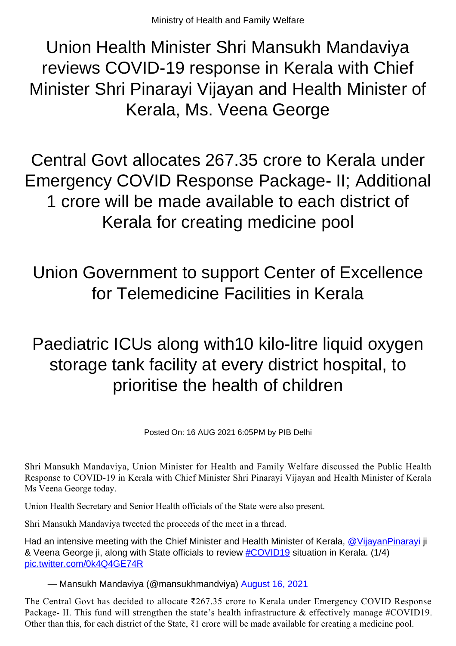Union Health Minister Shri Mansukh Mandaviya reviews COVID-19 response in Kerala with Chief Minister Shri Pinarayi Vijayan and Health Minister of Kerala, Ms. Veena George

Central Govt allocates 267.35 crore to Kerala under Emergency COVID Response Package- II; Additional 1 crore will be made available to each district of Kerala for creating medicine pool

Union Government to support Center of Excellence for Telemedicine Facilities in Kerala

Paediatric ICUs along with10 kilo-litre liquid oxygen storage tank facility at every district hospital, to prioritise the health of children

Posted On: 16 AUG 2021 6:05PM by PIB Delhi

Shri Mansukh Mandaviya, Union Minister for Health and Family Welfare discussed the Public Health Response to COVID-19 in Kerala with Chief Minister Shri Pinarayi Vijayan and Health Minister of Kerala Ms Veena George today.

Union Health Secretary and Senior Health officials of the State were also present.

Shri Mansukh Mandaviya tweeted the proceeds of the meet in a thread.

Had an intensive meeting with the Chief Minister and Health Minister of Kerala, [@VijayanPinarayi](https://twitter.com/vijayanpinarayi?ref_src=twsrc%5Etfw) ji & Veena George ji, along with State officials to review [#COVID19](https://twitter.com/hashtag/COVID19?src=hash&ref_src=twsrc%5Etfw) situation in Kerala. (1/4) [pic.twitter.com/0k4Q4GE74R](https://t.co/0k4Q4GE74R)

— Mansukh Mandaviya (@mansukhmandviya) [August 16, 2021](https://twitter.com/mansukhmandviya/status/1427234451877089288?ref_src=twsrc%5Etfw)

The Central Govt has decided to allocate ₹267.35 crore to Kerala under Emergency COVID Response Package- II. This fund will strengthen the state's health infrastructure & effectively manage #COVID19. Other than this, for each district of the State, ₹1 crore will be made available for creating a medicine pool.